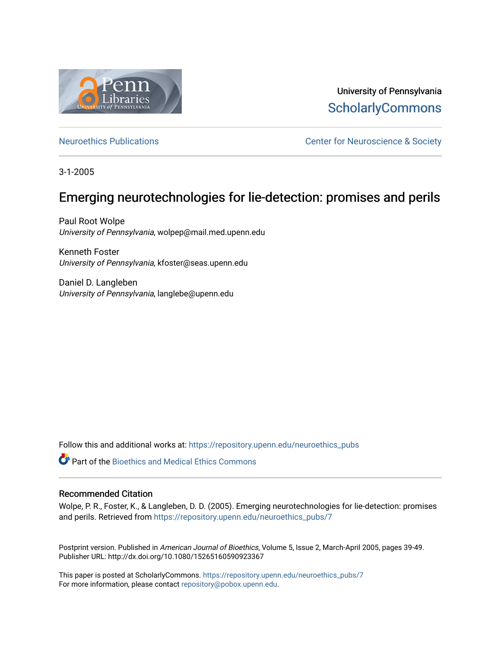

University of Pennsylvania **ScholarlyCommons** 

[Neuroethics Publications](https://repository.upenn.edu/neuroethics_pubs) **Neuroethics** Publications **Center for Neuroscience & Society** 

3-1-2005

# Emerging neurotechnologies for lie-detection: promises and perils

Paul Root Wolpe University of Pennsylvania, wolpep@mail.med.upenn.edu

Kenneth Foster University of Pennsylvania, kfoster@seas.upenn.edu

Daniel D. Langleben University of Pennsylvania, langlebe@upenn.edu

Follow this and additional works at: [https://repository.upenn.edu/neuroethics\\_pubs](https://repository.upenn.edu/neuroethics_pubs?utm_source=repository.upenn.edu%2Fneuroethics_pubs%2F7&utm_medium=PDF&utm_campaign=PDFCoverPages)

**C** Part of the Bioethics and Medical Ethics Commons

#### Recommended Citation

Wolpe, P. R., Foster, K., & Langleben, D. D. (2005). Emerging neurotechnologies for lie-detection: promises and perils. Retrieved from [https://repository.upenn.edu/neuroethics\\_pubs/7](https://repository.upenn.edu/neuroethics_pubs/7?utm_source=repository.upenn.edu%2Fneuroethics_pubs%2F7&utm_medium=PDF&utm_campaign=PDFCoverPages)

Postprint version. Published in American Journal of Bioethics, Volume 5, Issue 2, March-April 2005, pages 39-49. Publisher URL: http://dx.doi.org/10.1080/15265160590923367

This paper is posted at ScholarlyCommons. [https://repository.upenn.edu/neuroethics\\_pubs/7](https://repository.upenn.edu/neuroethics_pubs/7) For more information, please contact [repository@pobox.upenn.edu.](mailto:repository@pobox.upenn.edu)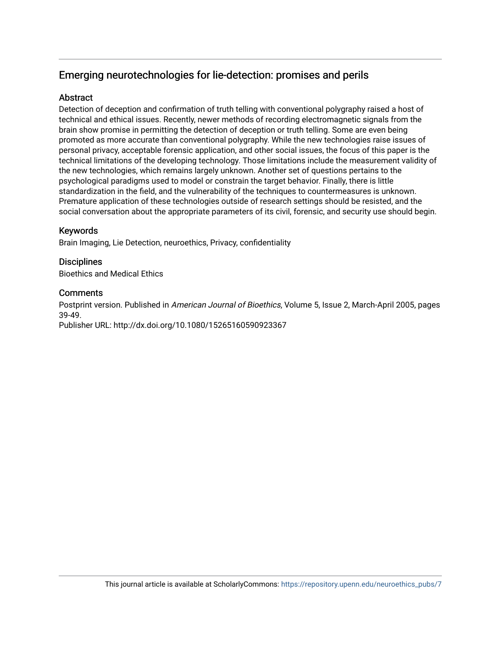## Emerging neurotechnologies for lie-detection: promises and perils

### **Abstract**

Detection of deception and confirmation of truth telling with conventional polygraphy raised a host of technical and ethical issues. Recently, newer methods of recording electromagnetic signals from the brain show promise in permitting the detection of deception or truth telling. Some are even being promoted as more accurate than conventional polygraphy. While the new technologies raise issues of personal privacy, acceptable forensic application, and other social issues, the focus of this paper is the technical limitations of the developing technology. Those limitations include the measurement validity of the new technologies, which remains largely unknown. Another set of questions pertains to the psychological paradigms used to model or constrain the target behavior. Finally, there is little standardization in the field, and the vulnerability of the techniques to countermeasures is unknown. Premature application of these technologies outside of research settings should be resisted, and the social conversation about the appropriate parameters of its civil, forensic, and security use should begin.

### Keywords

Brain Imaging, Lie Detection, neuroethics, Privacy, confidentiality

### **Disciplines**

Bioethics and Medical Ethics

### **Comments**

Postprint version. Published in American Journal of Bioethics, Volume 5, Issue 2, March-April 2005, pages 39-49. Publisher URL: http://dx.doi.org/10.1080/15265160590923367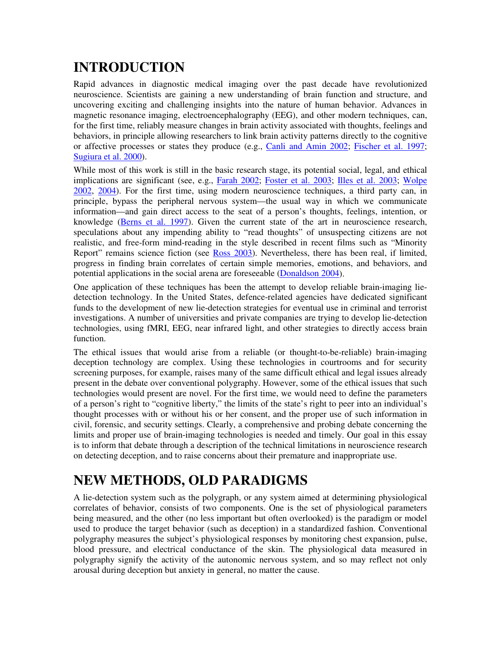# **INTRODUCTION**

Rapid advances in diagnostic medical imaging over the past decade have revolutionized neuroscience. Scientists are gaining a new understanding of brain function and structure, and uncovering exciting and challenging insights into the nature of human behavior. Advances in magnetic resonance imaging, electroencephalography (EEG), and other modern techniques, can, for the first time, reliably measure changes in brain activity associated with thoughts, feelings and behaviors, in principle allowing researchers to link brain activity patterns directly to the cognitive or affective processes or states they produce (e.g., Canli and Amin 2002; Fischer et al. 1997; Sugiura et al. 2000).

While most of this work is still in the basic research stage, its potential social, legal, and ethical implications are significant (see, e.g., Farah 2002; Foster et al. 2003; Illes et al. 2003; Wolpe 2002, 2004). For the first time, using modern neuroscience techniques, a third party can, in principle, bypass the peripheral nervous system—the usual way in which we communicate information—and gain direct access to the seat of a person's thoughts, feelings, intention, or knowledge (Berns et al. 1997). Given the current state of the art in neuroscience research, speculations about any impending ability to "read thoughts" of unsuspecting citizens are not realistic, and free-form mind-reading in the style described in recent films such as "Minority Report" remains science fiction (see Ross 2003). Nevertheless, there has been real, if limited, progress in finding brain correlates of certain simple memories, emotions, and behaviors, and potential applications in the social arena are foreseeable (Donaldson 2004).

One application of these techniques has been the attempt to develop reliable brain-imaging liedetection technology. In the United States, defence-related agencies have dedicated significant funds to the development of new lie-detection strategies for eventual use in criminal and terrorist investigations. A number of universities and private companies are trying to develop lie-detection technologies, using fMRI, EEG, near infrared light, and other strategies to directly access brain function.

The ethical issues that would arise from a reliable (or thought-to-be-reliable) brain-imaging deception technology are complex. Using these technologies in courtrooms and for security screening purposes, for example, raises many of the same difficult ethical and legal issues already present in the debate over conventional polygraphy. However, some of the ethical issues that such technologies would present are novel. For the first time, we would need to define the parameters of a person's right to "cognitive liberty," the limits of the state's right to peer into an individual's thought processes with or without his or her consent, and the proper use of such information in civil, forensic, and security settings. Clearly, a comprehensive and probing debate concerning the limits and proper use of brain-imaging technologies is needed and timely. Our goal in this essay is to inform that debate through a description of the technical limitations in neuroscience research on detecting deception, and to raise concerns about their premature and inappropriate use.

# **NEW METHODS, OLD PARADIGMS**

A lie-detection system such as the polygraph, or any system aimed at determining physiological correlates of behavior, consists of two components. One is the set of physiological parameters being measured, and the other (no less important but often overlooked) is the paradigm or model used to produce the target behavior (such as deception) in a standardized fashion. Conventional polygraphy measures the subject's physiological responses by monitoring chest expansion, pulse, blood pressure, and electrical conductance of the skin. The physiological data measured in polygraphy signify the activity of the autonomic nervous system, and so may reflect not only arousal during deception but anxiety in general, no matter the cause.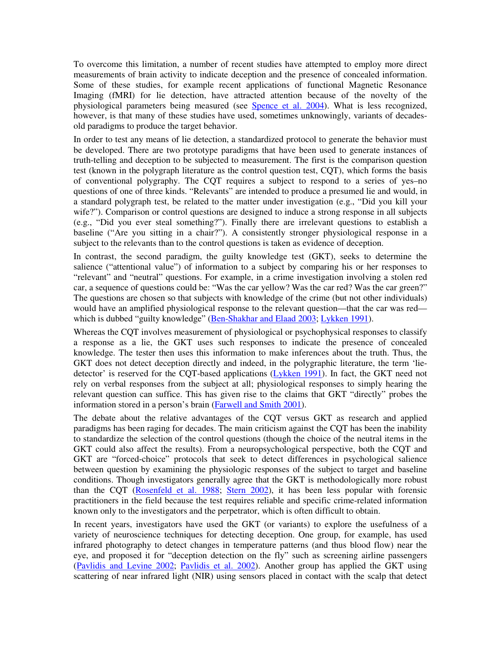To overcome this limitation, a number of recent studies have attempted to employ more direct measurements of brain activity to indicate deception and the presence of concealed information. Some of these studies, for example recent applications of functional Magnetic Resonance Imaging (fMRI) for lie detection, have attracted attention because of the novelty of the physiological parameters being measured (see Spence et al. 2004). What is less recognized, however, is that many of these studies have used, sometimes unknowingly, variants of decadesold paradigms to produce the target behavior.

In order to test any means of lie detection, a standardized protocol to generate the behavior must be developed. There are two prototype paradigms that have been used to generate instances of truth-telling and deception to be subjected to measurement. The first is the comparison question test (known in the polygraph literature as the control question test, CQT), which forms the basis of conventional polygraphy. The CQT requires a subject to respond to a series of yes–no questions of one of three kinds. "Relevants" are intended to produce a presumed lie and would, in a standard polygraph test, be related to the matter under investigation (e.g., "Did you kill your wife?"). Comparison or control questions are designed to induce a strong response in all subjects (e.g., "Did you ever steal something?"). Finally there are irrelevant questions to establish a baseline ("Are you sitting in a chair?"). A consistently stronger physiological response in a subject to the relevants than to the control questions is taken as evidence of deception.

In contrast, the second paradigm, the guilty knowledge test (GKT), seeks to determine the salience ("attentional value") of information to a subject by comparing his or her responses to "relevant" and "neutral" questions. For example, in a crime investigation involving a stolen red car, a sequence of questions could be: "Was the car yellow? Was the car red? Was the car green?" The questions are chosen so that subjects with knowledge of the crime (but not other individuals) would have an amplified physiological response to the relevant question—that the car was red which is dubbed "guilty knowledge" (Ben-Shakhar and Elaad 2003; Lykken 1991).

Whereas the CQT involves measurement of physiological or psychophysical responses to classify a response as a lie, the GKT uses such responses to indicate the presence of concealed knowledge. The tester then uses this information to make inferences about the truth. Thus, the GKT does not detect deception directly and indeed, in the polygraphic literature, the term 'liedetector' is reserved for the CQT-based applications (Lykken 1991). In fact, the GKT need not rely on verbal responses from the subject at all; physiological responses to simply hearing the relevant question can suffice. This has given rise to the claims that GKT "directly" probes the information stored in a person's brain (Farwell and Smith 2001).

The debate about the relative advantages of the CQT versus GKT as research and applied paradigms has been raging for decades. The main criticism against the CQT has been the inability to standardize the selection of the control questions (though the choice of the neutral items in the GKT could also affect the results). From a neuropsychological perspective, both the CQT and GKT are "forced-choice" protocols that seek to detect differences in psychological salience between question by examining the physiologic responses of the subject to target and baseline conditions. Though investigators generally agree that the GKT is methodologically more robust than the CQT (Rosenfeld et al. 1988; Stern 2002), it has been less popular with forensic practitioners in the field because the test requires reliable and specific crime-related information known only to the investigators and the perpetrator, which is often difficult to obtain.

In recent years, investigators have used the GKT (or variants) to explore the usefulness of a variety of neuroscience techniques for detecting deception. One group, for example, has used infrared photography to detect changes in temperature patterns (and thus blood flow) near the eye, and proposed it for "deception detection on the fly" such as screening airline passengers (Pavlidis and Levine 2002; Pavlidis et al. 2002). Another group has applied the GKT using scattering of near infrared light (NIR) using sensors placed in contact with the scalp that detect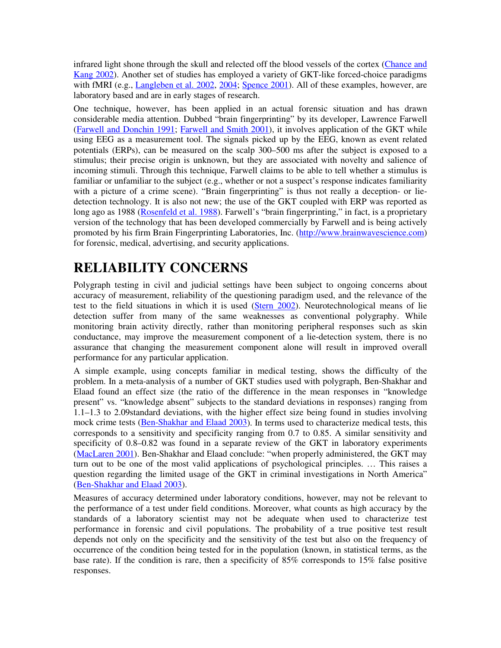infrared light shone through the skull and relected off the blood vessels of the cortex (Chance and Kang 2002). Another set of studies has employed a variety of GKT-like forced-choice paradigms with fMRI (e.g., Langleben et al. 2002, 2004; Spence 2001). All of these examples, however, are laboratory based and are in early stages of research.

One technique, however, has been applied in an actual forensic situation and has drawn considerable media attention. Dubbed "brain fingerprinting" by its developer, Lawrence Farwell (Farwell and Donchin 1991; Farwell and Smith 2001), it involves application of the GKT while using EEG as a measurement tool. The signals picked up by the EEG, known as event related potentials (ERPs), can be measured on the scalp 300–500 ms after the subject is exposed to a stimulus; their precise origin is unknown, but they are associated with novelty and salience of incoming stimuli. Through this technique, Farwell claims to be able to tell whether a stimulus is familiar or unfamiliar to the subject (e.g., whether or not a suspect's response indicates familiarity with a picture of a crime scene). "Brain fingerprinting" is thus not really a deception- or liedetection technology. It is also not new; the use of the GKT coupled with ERP was reported as long ago as 1988 (Rosenfeld et al. 1988). Farwell's "brain fingerprinting," in fact, is a proprietary version of the technology that has been developed commercially by Farwell and is being actively promoted by his firm Brain Fingerprinting Laboratories, Inc. (http://www.brainwavescience.com) for forensic, medical, advertising, and security applications.

# **RELIABILITY CONCERNS**

Polygraph testing in civil and judicial settings have been subject to ongoing concerns about accuracy of measurement, reliability of the questioning paradigm used, and the relevance of the test to the field situations in which it is used (Stern 2002). Neurotechnological means of lie detection suffer from many of the same weaknesses as conventional polygraphy. While monitoring brain activity directly, rather than monitoring peripheral responses such as skin conductance, may improve the measurement component of a lie-detection system, there is no assurance that changing the measurement component alone will result in improved overall performance for any particular application.

A simple example, using concepts familiar in medical testing, shows the difficulty of the problem. In a meta-analysis of a number of GKT studies used with polygraph, Ben-Shakhar and Elaad found an effect size (the ratio of the difference in the mean responses in "knowledge present" vs. "knowledge absent" subjects to the standard deviations in responses) ranging from 1.1–1.3 to 2.09standard deviations, with the higher effect size being found in studies involving mock crime tests (Ben-Shakhar and Elaad 2003). In terms used to characterize medical tests, this corresponds to a sensitivity and specificity ranging from 0.7 to 0.85. A similar sensitivity and specificity of 0.8–0.82 was found in a separate review of the GKT in laboratory experiments (MacLaren 2001). Ben-Shakhar and Elaad conclude: "when properly administered, the GKT may turn out to be one of the most valid applications of psychological principles. … This raises a question regarding the limited usage of the GKT in criminal investigations in North America" (Ben-Shakhar and Elaad 2003).

Measures of accuracy determined under laboratory conditions, however, may not be relevant to the performance of a test under field conditions. Moreover, what counts as high accuracy by the standards of a laboratory scientist may not be adequate when used to characterize test performance in forensic and civil populations. The probability of a true positive test result depends not only on the specificity and the sensitivity of the test but also on the frequency of occurrence of the condition being tested for in the population (known, in statistical terms, as the base rate). If the condition is rare, then a specificity of 85% corresponds to 15% false positive responses.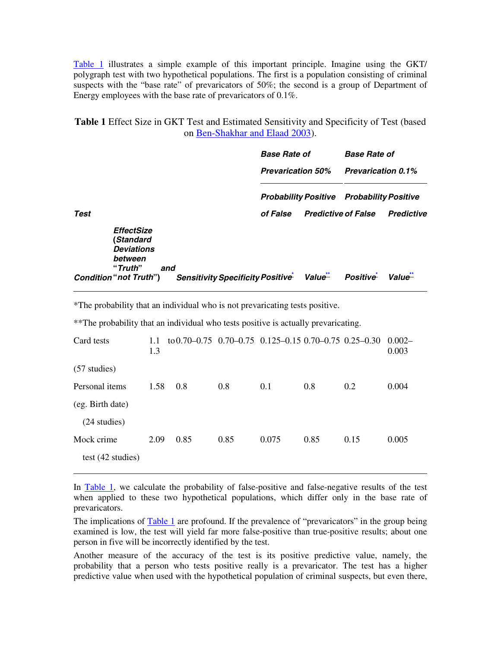Table 1 illustrates a simple example of this important principle. Imagine using the GKT/ polygraph test with two hypothetical populations. The first is a population consisting of criminal suspects with the "base rate" of prevaricators of 50%; the second is a group of Department of Energy employees with the base rate of prevaricators of 0.1%.

**Table 1** Effect Size in GKT Test and Estimated Sensitivity and Specificity of Test (based on Ben-Shakhar and Elaad 2003).

|                          |  | <b>Base Rate of</b>       |                                                                                                                                   |  |
|--------------------------|--|---------------------------|-----------------------------------------------------------------------------------------------------------------------------------|--|
| <b>Prevarication 50%</b> |  | <b>Prevarication 0.1%</b> |                                                                                                                                   |  |
|                          |  |                           |                                                                                                                                   |  |
| of False                 |  |                           | <b>Predictive</b>                                                                                                                 |  |
|                          |  |                           | Value-                                                                                                                            |  |
|                          |  |                           | <b>Probability Positive Probability Positive</b><br><b>Predictive of False</b><br>Sensitivity Specificity Positive Value Positive |  |

\*The probability that an individual who is not prevaricating tests positive.

\*\*The probability that an individual who tests positive is actually prevaricating.

| Card tests           | 1.1<br>1.3 | to 0.70–0.75 0.70–0.75 0.125–0.15 0.70–0.75 0.25–0.30 |      |       |      |      | $0.002 -$<br>0.003 |
|----------------------|------------|-------------------------------------------------------|------|-------|------|------|--------------------|
| $(57$ studies)       |            |                                                       |      |       |      |      |                    |
| Personal items       | 1.58       | 0.8                                                   | 0.8  | 0.1   | 0.8  | 0.2  | 0.004              |
| (eg. Birth date)     |            |                                                       |      |       |      |      |                    |
| (24 studies)         |            |                                                       |      |       |      |      |                    |
| Mock crime           | 2.09       | 0.85                                                  | 0.85 | 0.075 | 0.85 | 0.15 | 0.005              |
| test $(42 \times 1)$ |            |                                                       |      |       |      |      |                    |

In Table 1, we calculate the probability of false-positive and false-negative results of the test when applied to these two hypothetical populations, which differ only in the base rate of prevaricators.

The implications of Table 1 are profound. If the prevalence of "prevaricators" in the group being examined is low, the test will yield far more false-positive than true-positive results; about one person in five will be incorrectly identified by the test.

Another measure of the accuracy of the test is its positive predictive value, namely, the probability that a person who tests positive really is a prevaricator. The test has a higher predictive value when used with the hypothetical population of criminal suspects, but even there,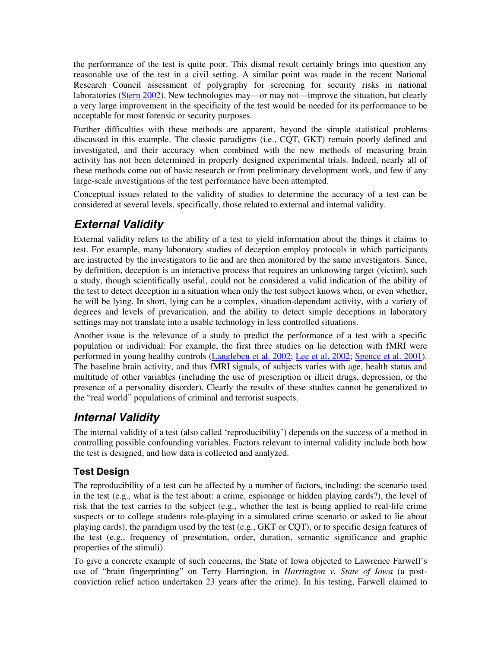the performance of the test is quite poor. This dismal result certainly brings into question any reasonable use of the test in a civil setting. A similar point was made in the recent National Research Council assessment of polygraphy for screening for security risks in national laboratories (Stern 2002). New technologies may—or may not—improve the situation, but clearly a very large improvement in the specificity of the test would be needed for its performance to be acceptable for most forensic or security purposes.

Further difficulties with these methods are apparent, beyond the simple statistical problems discussed in this example. The classic paradigms (i.e., CQT, GKT) remain poorly defined and investigated, and their accuracy when combined with the new methods of measuring brain activity has not been determined in properly designed experimental trials. Indeed, nearly all of these methods come out of basic research or from preliminary development work, and few if any large-scale investigations of the test performance have been attempted.

Conceptual issues related to the validity of studies to determine the accuracy of a test can be considered at several levels, specifically, those related to external and internal validity.

# **External Validity**

External validity refers to the ability of a test to yield information about the things it claims to test. For example, many laboratory studies of deception employ protocols in which participants are instructed by the investigators to lie and are then monitored by the same investigators. Since, by definition, deception is an interactive process that requires an unknowing target (victim), such a study, though scientifically useful, could not be considered a valid indication of the ability of the test to detect deception in a situation when only the test subject knows when, or even whether, he will be lying. In short, lying can be a complex, situation-dependant activity, with a variety of degrees and levels of prevarication, and the ability to detect simple deceptions in laboratory settings may not translate into a usable technology in less controlled situations.

Another issue is the relevance of a study to predict the performance of a test with a specific population or individual: For example, the first three studies on lie detection with fMRI were performed in young healthy controls (Langleben et al. 2002; Lee et al. 2002; Spence et al. 2001). The baseline brain activity, and thus fMRI signals, of subjects varies with age, health status and multitude of other variables (including the use of prescription or illicit drugs, depression, or the presence of a personality disorder). Clearly the results of these studies cannot be generalized to the "real world" populations of criminal and terrorist suspects.

# **Internal Validity**

The internal validity of a test (also called 'reproducibility') depends on the success of a method in controlling possible confounding variables. Factors relevant to internal validity include both how the test is designed, and how data is collected and analyzed.

### **Test Design**

The reproducibility of a test can be affected by a number of factors, including: the scenario used in the test (e.g., what is the test about: a crime, espionage or hidden playing cards?), the level of risk that the test carries to the subject (e.g., whether the test is being applied to real-life crime suspects or to college students role-playing in a simulated crime scenario or asked to lie about playing cards), the paradigm used by the test (e.g., GKT or CQT), or to specific design features of the test (e.g., frequency of presentation, order, duration, semantic significance and graphic properties of the stimuli).

To give a concrete example of such concerns, the State of Iowa objected to Lawrence Farwell's use of "brain fingerprinting" on Terry Harrington, in *Harrington v. State of Iowa* (a postconviction relief action undertaken 23 years after the crime). In his testing, Farwell claimed to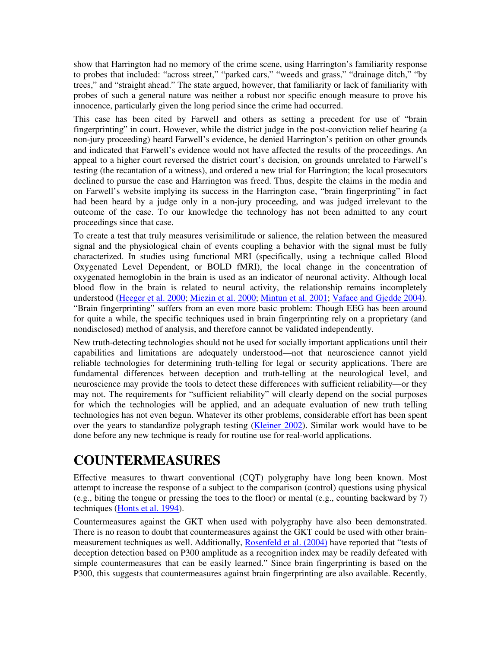show that Harrington had no memory of the crime scene, using Harrington's familiarity response to probes that included: "across street," "parked cars," "weeds and grass," "drainage ditch," "by trees," and "straight ahead." The state argued, however, that familiarity or lack of familiarity with probes of such a general nature was neither a robust nor specific enough measure to prove his innocence, particularly given the long period since the crime had occurred.

This case has been cited by Farwell and others as setting a precedent for use of "brain fingerprinting" in court. However, while the district judge in the post-conviction relief hearing (a non-jury proceeding) heard Farwell's evidence, he denied Harrington's petition on other grounds and indicated that Farwell's evidence would not have affected the results of the proceedings. An appeal to a higher court reversed the district court's decision, on grounds unrelated to Farwell's testing (the recantation of a witness), and ordered a new trial for Harrington; the local prosecutors declined to pursue the case and Harrington was freed. Thus, despite the claims in the media and on Farwell's website implying its success in the Harrington case, "brain fingerprinting" in fact had been heard by a judge only in a non-jury proceeding, and was judged irrelevant to the outcome of the case. To our knowledge the technology has not been admitted to any court proceedings since that case.

To create a test that truly measures verisimilitude or salience, the relation between the measured signal and the physiological chain of events coupling a behavior with the signal must be fully characterized. In studies using functional MRI (specifically, using a technique called Blood Oxygenated Level Dependent, or BOLD fMRI), the local change in the concentration of oxygenated hemoglobin in the brain is used as an indicator of neuronal activity. Although local blood flow in the brain is related to neural activity, the relationship remains incompletely understood (Heeger et al. 2000; Miezin et al. 2000; Mintun et al. 2001; Vafaee and Gjedde 2004). "Brain fingerprinting" suffers from an even more basic problem: Though EEG has been around for quite a while, the specific techniques used in brain fingerprinting rely on a proprietary (and nondisclosed) method of analysis, and therefore cannot be validated independently.

New truth-detecting technologies should not be used for socially important applications until their capabilities and limitations are adequately understood—not that neuroscience cannot yield reliable technologies for determining truth-telling for legal or security applications. There are fundamental differences between deception and truth-telling at the neurological level, and neuroscience may provide the tools to detect these differences with sufficient reliability—or they may not. The requirements for "sufficient reliability" will clearly depend on the social purposes for which the technologies will be applied, and an adequate evaluation of new truth telling technologies has not even begun. Whatever its other problems, considerable effort has been spent over the years to standardize polygraph testing (Kleiner 2002). Similar work would have to be done before any new technique is ready for routine use for real-world applications.

# **COUNTERMEASURES**

Effective measures to thwart conventional (CQT) polygraphy have long been known. Most attempt to increase the response of a subject to the comparison (control) questions using physical (e.g., biting the tongue or pressing the toes to the floor) or mental (e.g., counting backward by 7) techniques (Honts et al. 1994).

Countermeasures against the GKT when used with polygraphy have also been demonstrated. There is no reason to doubt that countermeasures against the GKT could be used with other brainmeasurement techniques as well. Additionally, Rosenfeld et al. (2004) have reported that "tests of deception detection based on P300 amplitude as a recognition index may be readily defeated with simple countermeasures that can be easily learned." Since brain fingerprinting is based on the P300, this suggests that countermeasures against brain fingerprinting are also available. Recently,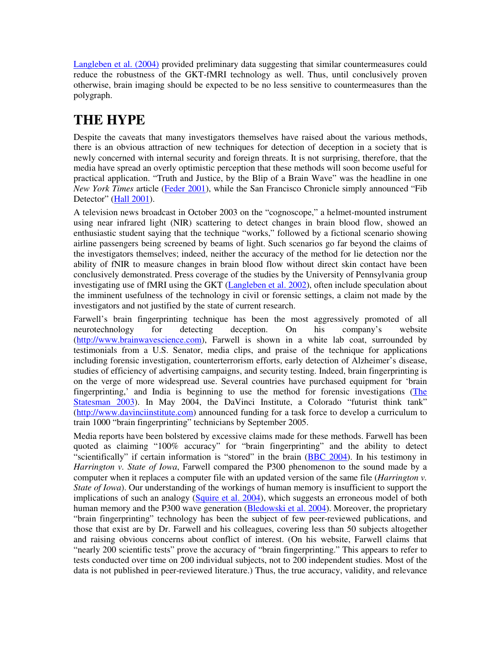Langleben et al. (2004) provided preliminary data suggesting that similar countermeasures could reduce the robustness of the GKT-fMRI technology as well. Thus, until conclusively proven otherwise, brain imaging should be expected to be no less sensitive to countermeasures than the polygraph.

# **THE HYPE**

Despite the caveats that many investigators themselves have raised about the various methods, there is an obvious attraction of new techniques for detection of deception in a society that is newly concerned with internal security and foreign threats. It is not surprising, therefore, that the media have spread an overly optimistic perception that these methods will soon become useful for practical application. "Truth and Justice, by the Blip of a Brain Wave" was the headline in one *New York Times* article (Feder 2001), while the San Francisco Chronicle simply announced "Fib Detector" (Hall 2001).

A television news broadcast in October 2003 on the "cognoscope," a helmet-mounted instrument using near infrared light (NIR) scattering to detect changes in brain blood flow, showed an enthusiastic student saying that the technique "works," followed by a fictional scenario showing airline passengers being screened by beams of light. Such scenarios go far beyond the claims of the investigators themselves; indeed, neither the accuracy of the method for lie detection nor the ability of fNIR to measure changes in brain blood flow without direct skin contact have been conclusively demonstrated. Press coverage of the studies by the University of Pennsylvania group investigating use of fMRI using the GKT (Langleben et al. 2002), often include speculation about the imminent usefulness of the technology in civil or forensic settings, a claim not made by the investigators and not justified by the state of current research.

Farwell's brain fingerprinting technique has been the most aggressively promoted of all neurotechnology for detecting deception. On his company's website (http://www.brainwavescience.com), Farwell is shown in a white lab coat, surrounded by testimonials from a U.S. Senator, media clips, and praise of the technique for applications including forensic investigation, counterterrorism efforts, early detection of Alzheimer's disease, studies of efficiency of advertising campaigns, and security testing. Indeed, brain fingerprinting is on the verge of more widespread use. Several countries have purchased equipment for 'brain fingerprinting,' and India is beginning to use the method for forensic investigations (The Statesman 2003). In May 2004, the DaVinci Institute, a Colorado "futurist think tank" (http://www.davinciinstitute.com) announced funding for a task force to develop a curriculum to train 1000 "brain fingerprinting" technicians by September 2005.

Media reports have been bolstered by excessive claims made for these methods. Farwell has been quoted as claiming "100% accuracy" for "brain fingerprinting" and the ability to detect "scientifically" if certain information is "stored" in the brain (BBC 2004). In his testimony in *Harrington v. State of Iowa*, Farwell compared the P300 phenomenon to the sound made by a computer when it replaces a computer file with an updated version of the same file (*Harrington v. State of Iowa*). Our understanding of the workings of human memory is insufficient to support the implications of such an analogy (Squire et al. 2004), which suggests an erroneous model of both human memory and the P300 wave generation (Bledowski et al. 2004). Moreover, the proprietary "brain fingerprinting" technology has been the subject of few peer-reviewed publications, and those that exist are by Dr. Farwell and his colleagues, covering less than 50 subjects altogether and raising obvious concerns about conflict of interest. (On his website, Farwell claims that "nearly 200 scientific tests" prove the accuracy of "brain fingerprinting." This appears to refer to tests conducted over time on 200 individual subjects, not to 200 independent studies. Most of the data is not published in peer-reviewed literature.) Thus, the true accuracy, validity, and relevance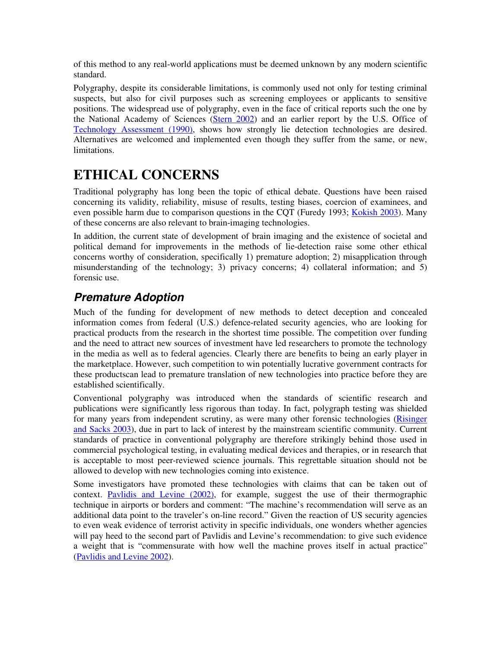of this method to any real-world applications must be deemed unknown by any modern scientific standard.

Polygraphy, despite its considerable limitations, is commonly used not only for testing criminal suspects, but also for civil purposes such as screening employees or applicants to sensitive positions. The widespread use of polygraphy, even in the face of critical reports such the one by the National Academy of Sciences (Stern 2002) and an earlier report by the U.S. Office of Technology Assessment (1990), shows how strongly lie detection technologies are desired. Alternatives are welcomed and implemented even though they suffer from the same, or new, limitations.

# **ETHICAL CONCERNS**

Traditional polygraphy has long been the topic of ethical debate. Questions have been raised concerning its validity, reliability, misuse of results, testing biases, coercion of examinees, and even possible harm due to comparison questions in the CQT (Furedy 1993; Kokish 2003). Many of these concerns are also relevant to brain-imaging technologies.

In addition, the current state of development of brain imaging and the existence of societal and political demand for improvements in the methods of lie-detection raise some other ethical concerns worthy of consideration, specifically 1) premature adoption; 2) misapplication through misunderstanding of the technology; 3) privacy concerns; 4) collateral information; and 5) forensic use.

# **Premature Adoption**

Much of the funding for development of new methods to detect deception and concealed information comes from federal (U.S.) defence-related security agencies, who are looking for practical products from the research in the shortest time possible. The competition over funding and the need to attract new sources of investment have led researchers to promote the technology in the media as well as to federal agencies. Clearly there are benefits to being an early player in the marketplace. However, such competition to win potentially lucrative government contracts for these productscan lead to premature translation of new technologies into practice before they are established scientifically.

Conventional polygraphy was introduced when the standards of scientific research and publications were significantly less rigorous than today. In fact, polygraph testing was shielded for many years from independent scrutiny, as were many other forensic technologies (Risinger and Sacks 2003), due in part to lack of interest by the mainstream scientific community. Current standards of practice in conventional polygraphy are therefore strikingly behind those used in commercial psychological testing, in evaluating medical devices and therapies, or in research that is acceptable to most peer-reviewed science journals. This regrettable situation should not be allowed to develop with new technologies coming into existence.

Some investigators have promoted these technologies with claims that can be taken out of context. Pavlidis and Levine (2002), for example, suggest the use of their thermographic technique in airports or borders and comment: "The machine's recommendation will serve as an additional data point to the traveler's on-line record." Given the reaction of US security agencies to even weak evidence of terrorist activity in specific individuals, one wonders whether agencies will pay heed to the second part of Pavlidis and Levine's recommendation: to give such evidence a weight that is "commensurate with how well the machine proves itself in actual practice" (Pavlidis and Levine 2002).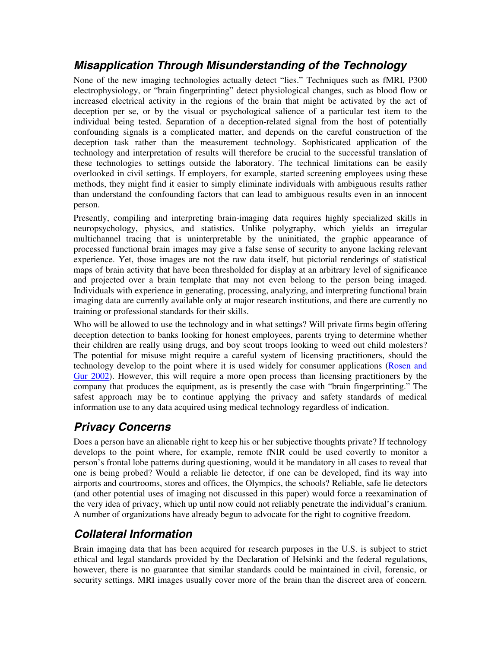## **Misapplication Through Misunderstanding of the Technology**

None of the new imaging technologies actually detect "lies." Techniques such as fMRI, P300 electrophysiology, or "brain fingerprinting" detect physiological changes, such as blood flow or increased electrical activity in the regions of the brain that might be activated by the act of deception per se, or by the visual or psychological salience of a particular test item to the individual being tested. Separation of a deception-related signal from the host of potentially confounding signals is a complicated matter, and depends on the careful construction of the deception task rather than the measurement technology. Sophisticated application of the technology and interpretation of results will therefore be crucial to the successful translation of these technologies to settings outside the laboratory. The technical limitations can be easily overlooked in civil settings. If employers, for example, started screening employees using these methods, they might find it easier to simply eliminate individuals with ambiguous results rather than understand the confounding factors that can lead to ambiguous results even in an innocent person.

Presently, compiling and interpreting brain-imaging data requires highly specialized skills in neuropsychology, physics, and statistics. Unlike polygraphy, which yields an irregular multichannel tracing that is uninterpretable by the uninitiated, the graphic appearance of processed functional brain images may give a false sense of security to anyone lacking relevant experience. Yet, those images are not the raw data itself, but pictorial renderings of statistical maps of brain activity that have been thresholded for display at an arbitrary level of significance and projected over a brain template that may not even belong to the person being imaged. Individuals with experience in generating, processing, analyzing, and interpreting functional brain imaging data are currently available only at major research institutions, and there are currently no training or professional standards for their skills.

Who will be allowed to use the technology and in what settings? Will private firms begin offering deception detection to banks looking for honest employees, parents trying to determine whether their children are really using drugs, and boy scout troops looking to weed out child molesters? The potential for misuse might require a careful system of licensing practitioners, should the technology develop to the point where it is used widely for consumer applications (Rosen and Gur 2002). However, this will require a more open process than licensing practitioners by the company that produces the equipment, as is presently the case with "brain fingerprinting." The safest approach may be to continue applying the privacy and safety standards of medical information use to any data acquired using medical technology regardless of indication.

# **Privacy Concerns**

Does a person have an alienable right to keep his or her subjective thoughts private? If technology develops to the point where, for example, remote fNIR could be used covertly to monitor a person's frontal lobe patterns during questioning, would it be mandatory in all cases to reveal that one is being probed? Would a reliable lie detector, if one can be developed, find its way into airports and courtrooms, stores and offices, the Olympics, the schools? Reliable, safe lie detectors (and other potential uses of imaging not discussed in this paper) would force a reexamination of the very idea of privacy, which up until now could not reliably penetrate the individual's cranium. A number of organizations have already begun to advocate for the right to cognitive freedom.

# **Collateral Information**

Brain imaging data that has been acquired for research purposes in the U.S. is subject to strict ethical and legal standards provided by the Declaration of Helsinki and the federal regulations, however, there is no guarantee that similar standards could be maintained in civil, forensic, or security settings. MRI images usually cover more of the brain than the discreet area of concern.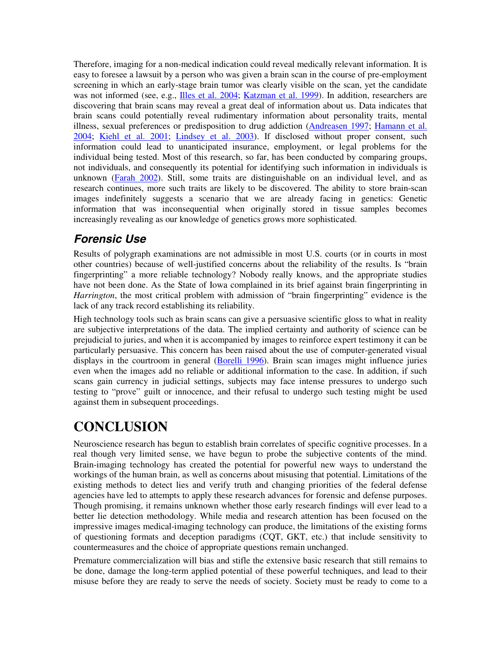Therefore, imaging for a non-medical indication could reveal medically relevant information. It is easy to foresee a lawsuit by a person who was given a brain scan in the course of pre-employment screening in which an early-stage brain tumor was clearly visible on the scan, yet the candidate was not informed (see, e.g., *Illes et al. 2004*; Katzman et al. 1999). In addition, researchers are discovering that brain scans may reveal a great deal of information about us. Data indicates that brain scans could potentially reveal rudimentary information about personality traits, mental illness, sexual preferences or predisposition to drug addiction (Andreasen 1997; Hamann et al. 2004; Kiehl et al. 2001; Lindsey et al. 2003). If disclosed without proper consent, such information could lead to unanticipated insurance, employment, or legal problems for the individual being tested. Most of this research, so far, has been conducted by comparing groups, not individuals, and consequently its potential for identifying such information in individuals is unknown (Farah 2002). Still, some traits are distinguishable on an individual level, and as research continues, more such traits are likely to be discovered. The ability to store brain-scan images indefinitely suggests a scenario that we are already facing in genetics: Genetic information that was inconsequential when originally stored in tissue samples becomes increasingly revealing as our knowledge of genetics grows more sophisticated.

# **Forensic Use**

Results of polygraph examinations are not admissible in most U.S. courts (or in courts in most other countries) because of well-justified concerns about the reliability of the results. Is "brain fingerprinting" a more reliable technology? Nobody really knows, and the appropriate studies have not been done. As the State of Iowa complained in its brief against brain fingerprinting in *Harrington*, the most critical problem with admission of "brain fingerprinting" evidence is the lack of any track record establishing its reliability.

High technology tools such as brain scans can give a persuasive scientific gloss to what in reality are subjective interpretations of the data. The implied certainty and authority of science can be prejudicial to juries, and when it is accompanied by images to reinforce expert testimony it can be particularly persuasive. This concern has been raised about the use of computer-generated visual displays in the courtroom in general (Borelli 1996). Brain scan images might influence juries even when the images add no reliable or additional information to the case. In addition, if such scans gain currency in judicial settings, subjects may face intense pressures to undergo such testing to "prove" guilt or innocence, and their refusal to undergo such testing might be used against them in subsequent proceedings.

# **CONCLUSION**

Neuroscience research has begun to establish brain correlates of specific cognitive processes. In a real though very limited sense, we have begun to probe the subjective contents of the mind. Brain-imaging technology has created the potential for powerful new ways to understand the workings of the human brain, as well as concerns about misusing that potential. Limitations of the existing methods to detect lies and verify truth and changing priorities of the federal defense agencies have led to attempts to apply these research advances for forensic and defense purposes. Though promising, it remains unknown whether those early research findings will ever lead to a better lie detection methodology. While media and research attention has been focused on the impressive images medical-imaging technology can produce, the limitations of the existing forms of questioning formats and deception paradigms (CQT, GKT, etc.) that include sensitivity to countermeasures and the choice of appropriate questions remain unchanged.

Premature commercialization will bias and stifle the extensive basic research that still remains to be done, damage the long-term applied potential of these powerful techniques, and lead to their misuse before they are ready to serve the needs of society. Society must be ready to come to a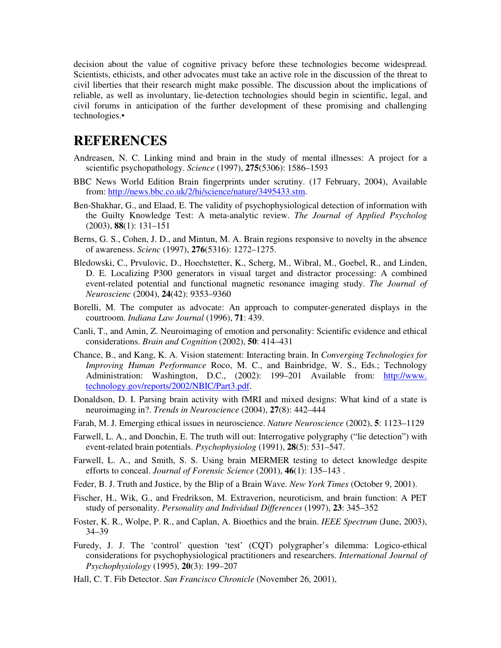decision about the value of cognitive privacy before these technologies become widespread. Scientists, ethicists, and other advocates must take an active role in the discussion of the threat to civil liberties that their research might make possible. The discussion about the implications of reliable, as well as involuntary, lie-detection technologies should begin in scientific, legal, and civil forums in anticipation of the further development of these promising and challenging technologies.

# **REFERENCES**

- Andreasen, N. C. Linking mind and brain in the study of mental illnesses: A project for a scientific psychopathology. *Science* (1997), **275**(5306): 1586–1593
- BBC News World Edition Brain fingerprints under scrutiny. (17 February, 2004), Available from: http://news.bbc.co.uk/2/hi/science/nature/3495433.stm.
- Ben-Shakhar, G., and Elaad, E. The validity of psychophysiological detection of information with the Guilty Knowledge Test: A meta-analytic review. *The Journal of Applied Psycholog* (2003), **88**(1): 131–151
- Berns, G. S., Cohen, J. D., and Mintun, M. A. Brain regions responsive to novelty in the absence of awareness. *Scienc* (1997), **276**(5316): 1272–1275.
- Bledowski, C., Prvulovic, D., Hoechstetter, K., Scherg, M., Wibral, M., Goebel, R., and Linden, D. E. Localizing P300 generators in visual target and distractor processing: A combined event-related potential and functional magnetic resonance imaging study. *The Journal of Neuroscienc* (2004), **24**(42): 9353–9360
- Borelli, M. The computer as advocate: An approach to computer-generated displays in the courtroom. *Indiana Law Journal* (1996), **71**: 439.
- Canli, T., and Amin, Z. Neuroimaging of emotion and personality: Scientific evidence and ethical considerations. *Brain and Cognition* (2002), **50**: 414–431
- Chance, B., and Kang, K. A. Vision statement: Interacting brain. In *Converging Technologies for Improving Human Performance* Roco, M. C., and Bainbridge, W. S., Eds.; Technology Administration: Washington, D.C., (2002): 199–201 Available from: http://www. technology.gov/reports/2002/NBIC/Part3.pdf.
- Donaldson, D. I. Parsing brain activity with fMRI and mixed designs: What kind of a state is neuroimaging in?. *Trends in Neuroscience* (2004), **27**(8): 442–444
- Farah, M. J. Emerging ethical issues in neuroscience. *Nature Neuroscience* (2002), **5**: 1123–1129
- Farwell, L. A., and Donchin, E. The truth will out: Interrogative polygraphy ("lie detection") with event-related brain potentials. *Psychophysiolog* (1991), **28**(5): 531–547.
- Farwell, L. A., and Smith, S. S. Using brain MERMER testing to detect knowledge despite efforts to conceal. *Journal of Forensic Science* (2001), **46**(1): 135–143 .
- Feder, B. J. Truth and Justice, by the Blip of a Brain Wave. *New York Times* (October 9, 2001).
- Fischer, H., Wik, G., and Fredrikson, M. Extraverion, neuroticism, and brain function: A PET study of personality. *Personality and Individual Differences* (1997), **23**: 345–352
- Foster, K. R., Wolpe, P. R., and Caplan, A. Bioethics and the brain. *IEEE Spectrum* (June, 2003), 34–39
- Furedy, J. J. The 'control' question 'test' (CQT) polygrapher's dilemma: Logico-ethical considerations for psychophysiological practitioners and researchers. *International Journal of Psychophysiology* (1995), **20**(3): 199–207
- Hall, C. T. Fib Detector. *San Francisco Chronicle* (November 26, 2001),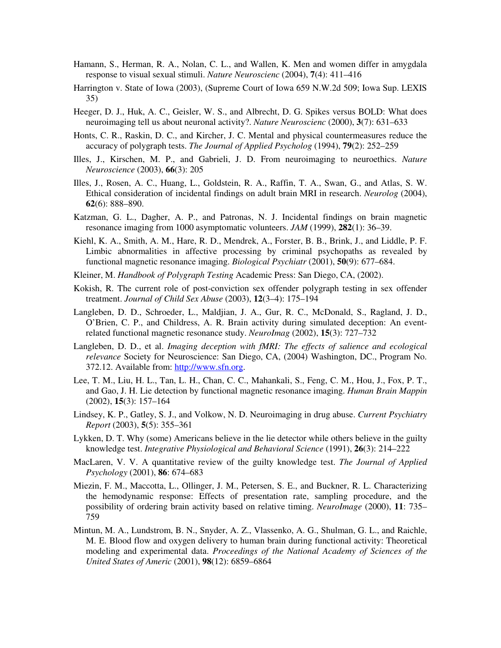- Hamann, S., Herman, R. A., Nolan, C. L., and Wallen, K. Men and women differ in amygdala response to visual sexual stimuli. *Nature Neuroscienc* (2004), **7**(4): 411–416
- Harrington v. State of Iowa (2003), (Supreme Court of Iowa 659 N.W.2d 509; Iowa Sup. LEXIS 35)
- Heeger, D. J., Huk, A. C., Geisler, W. S., and Albrecht, D. G. Spikes versus BOLD: What does neuroimaging tell us about neuronal activity?. *Nature Neuroscienc* (2000), **3**(7): 631–633
- Honts, C. R., Raskin, D. C., and Kircher, J. C. Mental and physical countermeasures reduce the accuracy of polygraph tests. *The Journal of Applied Psycholog* (1994), **79**(2): 252–259
- Illes, J., Kirschen, M. P., and Gabrieli, J. D. From neuroimaging to neuroethics. *Nature Neuroscience* (2003), **66**(3): 205
- Illes, J., Rosen, A. C., Huang, L., Goldstein, R. A., Raffin, T. A., Swan, G., and Atlas, S. W. Ethical consideration of incidental findings on adult brain MRI in research. *Neurolog* (2004), **62**(6): 888–890.
- Katzman, G. L., Dagher, A. P., and Patronas, N. J. Incidental findings on brain magnetic resonance imaging from 1000 asymptomatic volunteers. *JAM* (1999), **282**(1): 36–39.
- Kiehl, K. A., Smith, A. M., Hare, R. D., Mendrek, A., Forster, B. B., Brink, J., and Liddle, P. F. Limbic abnormalities in affective processing by criminal psychopaths as revealed by functional magnetic resonance imaging. *Biological Psychiatr* (2001), **50**(9): 677–684.
- Kleiner, M. *Handbook of Polygraph Testing* Academic Press: San Diego, CA, (2002).
- Kokish, R. The current role of post-conviction sex offender polygraph testing in sex offender treatment. *Journal of Child Sex Abuse* (2003), **12**(3–4): 175–194
- Langleben, D. D., Schroeder, L., Maldjian, J. A., Gur, R. C., McDonald, S., Ragland, J. D., O'Brien, C. P., and Childress, A. R. Brain activity during simulated deception: An eventrelated functional magnetic resonance study. *NeuroImag* (2002), **15**(3): 727–732
- Langleben, D. D., et al. *Imaging deception with fMRI: The effects of salience and ecological relevance* Society for Neuroscience: San Diego, CA, (2004) Washington, DC., Program No. 372.12. Available from: http://www.sfn.org.
- Lee, T. M., Liu, H. L., Tan, L. H., Chan, C. C., Mahankali, S., Feng, C. M., Hou, J., Fox, P. T., and Gao, J. H. Lie detection by functional magnetic resonance imaging. *Human Brain Mappin* (2002), **15**(3): 157–164
- Lindsey, K. P., Gatley, S. J., and Volkow, N. D. Neuroimaging in drug abuse. *Current Psychiatry Report* (2003), **5**(5): 355–361
- Lykken, D. T. Why (some) Americans believe in the lie detector while others believe in the guilty knowledge test. *Integrative Physiological and Behavioral Science* (1991), **26**(3): 214–222
- MacLaren, V. V. A quantitative review of the guilty knowledge test. *The Journal of Applied Psychology* (2001), **86**: 674–683
- Miezin, F. M., Maccotta, L., Ollinger, J. M., Petersen, S. E., and Buckner, R. L. Characterizing the hemodynamic response: Effects of presentation rate, sampling procedure, and the possibility of ordering brain activity based on relative timing. *NeuroImage* (2000), **11**: 735– 759
- Mintun, M. A., Lundstrom, B. N., Snyder, A. Z., Vlassenko, A. G., Shulman, G. L., and Raichle, M. E. Blood flow and oxygen delivery to human brain during functional activity: Theoretical modeling and experimental data. *Proceedings of the National Academy of Sciences of the United States of Americ* (2001), **98**(12): 6859–6864